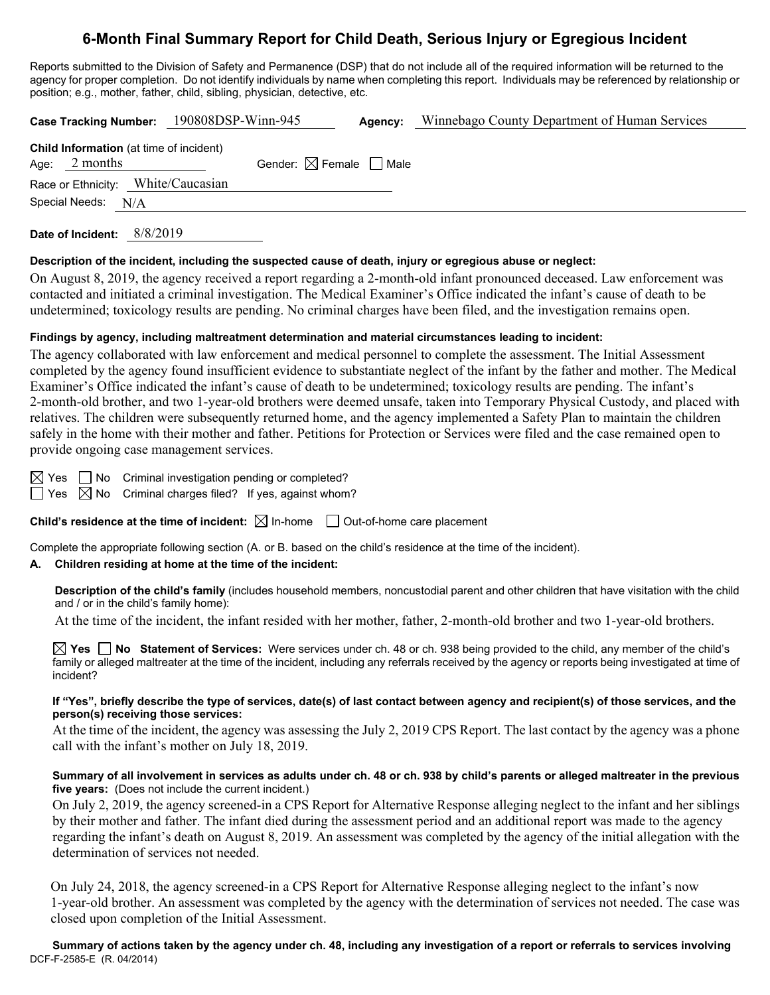# **6-Month Final Summary Report for Child Death, Serious Injury or Egregious Incident**

Reports submitted to the Division of Safety and Permanence (DSP) that do not include all of the required information will be returned to the agency for proper completion. Do not identify individuals by name when completing this report. Individuals may be referenced by relationship or position; e.g., mother, father, child, sibling, physician, detective, etc.

|                    | Case Tracking Number: 190808DSP-Winn-945       |                                        | Agency: | Winnebago County Department of Human Services |
|--------------------|------------------------------------------------|----------------------------------------|---------|-----------------------------------------------|
| Age: $2$ months    | <b>Child Information</b> (at time of incident) | Gender: $\boxtimes$ Female $\Box$ Male |         |                                               |
|                    | Race or Ethnicity: White/Caucasian             |                                        |         |                                               |
| Special Needs: N/A |                                                |                                        |         |                                               |
|                    |                                                |                                        |         |                                               |

**Date of Incident:** 8/8/2019

#### **Description of the incident, including the suspected cause of death, injury or egregious abuse or neglect:**

On August 8, 2019, the agency received a report regarding a 2-month-old infant pronounced deceased. Law enforcement was contacted and initiated a criminal investigation. The Medical Examiner's Office indicated the infant's cause of death to be undetermined; toxicology results are pending. No criminal charges have been filed, and the investigation remains open.

## **Findings by agency, including maltreatment determination and material circumstances leading to incident:**

The agency collaborated with law enforcement and medical personnel to complete the assessment. The Initial Assessment completed by the agency found insufficient evidence to substantiate neglect of the infant by the father and mother. The Medical Examiner's Office indicated the infant's cause of death to be undetermined; toxicology results are pending. The infant's 2-month-old brother, and two 1-year-old brothers were deemed unsafe, taken into Temporary Physical Custody, and placed with relatives. The children were subsequently returned home, and the agency implemented a Safety Plan to maintain the children safely in the home with their mother and father. Petitions for Protection or Services were filed and the case remained open to provide ongoing case management services.

 $\boxtimes$  Yes  $\Box$  No Criminal investigation pending or completed?  $\Box$  Yes  $\boxtimes$  No Criminal charges filed? If yes, against whom?

**Child's residence at the time of incident:**  $\boxtimes$  In-home  $\Box$  Out-of-home care placement

Complete the appropriate following section (A. or B. based on the child's residence at the time of the incident).

# **A. Children residing at home at the time of the incident:**

**Description of the child's family** (includes household members, noncustodial parent and other children that have visitation with the child and / or in the child's family home):

At the time of the incident, the infant resided with her mother, father, 2-month-old brother and two 1-year-old brothers.

**Yes No Statement of Services:** Were services under ch. 48 or ch. 938 being provided to the child, any member of the child's family or alleged maltreater at the time of the incident, including any referrals received by the agency or reports being investigated at time of incident?

#### **If "Yes", briefly describe the type of services, date(s) of last contact between agency and recipient(s) of those services, and the person(s) receiving those services:**

At the time of the incident, the agency was assessing the July 2, 2019 CPS Report. The last contact by the agency was a phone call with the infant's mother on July 18, 2019.

## **Summary of all involvement in services as adults under ch. 48 or ch. 938 by child's parents or alleged maltreater in the previous five years:** (Does not include the current incident.)

On July 2, 2019, the agency screened-in a CPS Report for Alternative Response alleging neglect to the infant and her siblings by their mother and father. The infant died during the assessment period and an additional report was made to the agency regarding the infant's death on August 8, 2019. An assessment was completed by the agency of the initial allegation with the determination of services not needed.

 On July 24, 2018, the agency screened-in a CPS Report for Alternative Response alleging neglect to the infant's now 1-year-old brother. An assessment was completed by the agency with the determination of services not needed. The case was closed upon completion of the Initial Assessment.

DCF-F-2585-E (R. 04/2014) **Summary of actions taken by the agency under ch. 48, including any investigation of a report or referrals to services involving**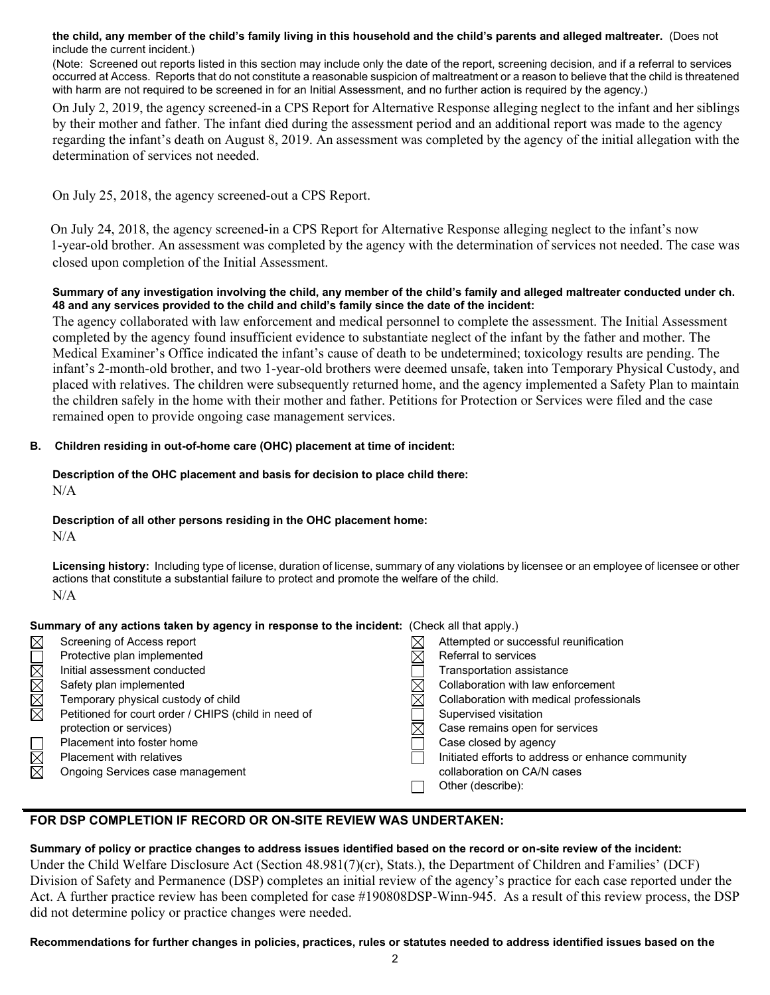**the child, any member of the child's family living in this household and the child's parents and alleged maltreater.** (Does not include the current incident.)

(Note: Screened out reports listed in this section may include only the date of the report, screening decision, and if a referral to services occurred at Access. Reports that do not constitute a reasonable suspicion of maltreatment or a reason to believe that the child is threatened with harm are not required to be screened in for an Initial Assessment, and no further action is required by the agency.)

On July 2, 2019, the agency screened-in a CPS Report for Alternative Response alleging neglect to the infant and her siblings by their mother and father. The infant died during the assessment period and an additional report was made to the agency regarding the infant's death on August 8, 2019. An assessment was completed by the agency of the initial allegation with the determination of services not needed.

On July 25, 2018, the agency screened-out a CPS Report.

 On July 24, 2018, the agency screened-in a CPS Report for Alternative Response alleging neglect to the infant's now 1-year-old brother. An assessment was completed by the agency with the determination of services not needed. The case was closed upon completion of the Initial Assessment.

#### **Summary of any investigation involving the child, any member of the child's family and alleged maltreater conducted under ch. 48 and any services provided to the child and child's family since the date of the incident:**

The agency collaborated with law enforcement and medical personnel to complete the assessment. The Initial Assessment completed by the agency found insufficient evidence to substantiate neglect of the infant by the father and mother. The Medical Examiner's Office indicated the infant's cause of death to be undetermined; toxicology results are pending. The infant's 2-month-old brother, and two 1-year-old brothers were deemed unsafe, taken into Temporary Physical Custody, and placed with relatives. The children were subsequently returned home, and the agency implemented a Safety Plan to maintain the children safely in the home with their mother and father. Petitions for Protection or Services were filed and the case remained open to provide ongoing case management services.

## **B. Children residing in out-of-home care (OHC) placement at time of incident:**

#### **Description of the OHC placement and basis for decision to place child there:** N/A

#### **Description of all other persons residing in the OHC placement home:**

N/A

**Licensing history:** Including type of license, duration of license, summary of any violations by licensee or an employee of licensee or other actions that constitute a substantial failure to protect and promote the welfare of the child. N/A

|             | Summary of any actions taken by agency in response to the incident: (Check all that apply.) |  |                                                   |  |
|-------------|---------------------------------------------------------------------------------------------|--|---------------------------------------------------|--|
| $\boxtimes$ | Screening of Access report                                                                  |  | Attempted or successful reunification             |  |
|             | Protective plan implemented                                                                 |  | Referral to services                              |  |
|             | Initial assessment conducted                                                                |  | Transportation assistance                         |  |
| NNNNI       | Safety plan implemented                                                                     |  | Collaboration with law enforcement                |  |
|             | Temporary physical custody of child                                                         |  | Collaboration with medical professionals          |  |
|             | Petitioned for court order / CHIPS (child in need of                                        |  | Supervised visitation                             |  |
|             | protection or services)                                                                     |  | Case remains open for services                    |  |
|             | Placement into foster home                                                                  |  | Case closed by agency                             |  |
| $\boxtimes$ | <b>Placement with relatives</b>                                                             |  | Initiated efforts to address or enhance community |  |
|             | Ongoing Services case management                                                            |  | collaboration on CA/N cases                       |  |
|             |                                                                                             |  | Other (describe):                                 |  |

# **FOR DSP COMPLETION IF RECORD OR ON-SITE REVIEW WAS UNDERTAKEN:**

#### **Summary of policy or practice changes to address issues identified based on the record or on-site review of the incident:**

Under the Child Welfare Disclosure Act (Section 48.981(7)(cr), Stats.), the Department of Children and Families' (DCF) Division of Safety and Permanence (DSP) completes an initial review of the agency's practice for each case reported under the Act. A further practice review has been completed for case #190808DSP-Winn-945. As a result of this review process, the DSP did not determine policy or practice changes were needed.

**Recommendations for further changes in policies, practices, rules or statutes needed to address identified issues based on the**